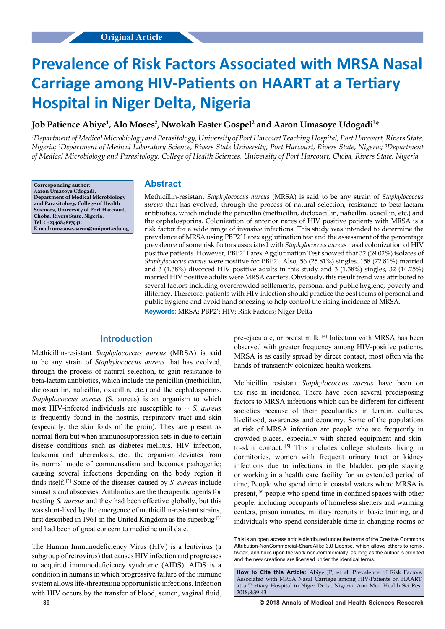# **Prevalence of Risk Factors Associated with MRSA Nasal Carriage among HIV-Patients on HAART at a Tertiary Hospital in Niger Delta, Nigeria**

# Job Patience Abiye<sup>1</sup>, Alo Moses<sup>2</sup>, Nwokah Easter Gospel<sup>2</sup> and Aaron Umasoye Udogadi<sup>3\*</sup>

*1 Department of Medical Microbiology and Parasitology, University of Port Harcourt Teaching Hospital, Port Harcourt, Rivers State, Nigeria; 2 Department of Medical Laboratory Science, Rivers State University, Port Harcourt, Rivers State, Nigeria; 3 Department of Medical Microbiology and Parasitology, College of Health Sciences, University of Port Harcourt, Choba, Rivers State, Nigeria*

**Corresponding author: Aaron Umasoye Udogadi, Department of Medical Microbiology and Parasitology, College of Health Sciences, University of Port Harcourt, Choba, Rivers State, Nigeria, Tel: : +234084817941; E-mail: umasoye.aaron@uniport.edu.ng**

### **Abstract**

Methicillin-resistant *Staphylococcus aureus* (MRSA) is said to be any strain of *Staphylococcus aureus* that has evolved, through the process of natural selection, resistance to beta-lactam antibiotics, which include the penicillin (methicillin, dicloxacillin, naficillin, oxacillin, etc.) and the cephalosporins. Colonization of anterior nares of HIV positive patients with MRSA is a risk factor for a wide range of invasive infections. This study was intended to determine the prevalence of MRSA using PBP2' Latex agglutination test and the assessment of the percentage prevalence of some risk factors associated with *Staphylococcus aureus* nasal colonization of HIV positive patients. However, PBP2' Latex Agglutination Test showed that 32 (39.02%) isolates of *Staphylococcus aureus* were positive for PBP2'. Also, 56 (25.81%) singles, 158 (72.81%) married and 3 (1.38%) divorced HIV positive adults in this study and 3 (1.38%) singles, 32 (14.75%) married HIV positive adults were MRSA carriers. Obviously, this result trend was attributed to several factors including overcrowded settlements, personal and public hygiene, poverty and illiteracy. Therefore, patients with HIV infection should practice the best forms of personal and public hygiene and avoid hand sneezing to help control the rising incidence of MRSA.

**Keywords:** MRSA; PBP2'; HIV; Risk Factors; Niger Delta

# **Introduction**

Methicillin-resistant *Staphylococcus aureus* (MRSA) is said to be any strain of *Staphylococcus aureus* that has evolved, through the process of natural selection, to gain resistance to beta-lactam antibiotics, which include the penicillin (methicillin, dicloxacillin, naficillin, oxacillin, etc.) and the cephalosporins. *Staphylococcus aureus* (S. aureus) is an organism to which most HIV-infected individuals are susceptible to [1] *S. aureus*  is frequently found in the nostrils, respiratory tract and skin (especially, the skin folds of the groin). They are present as normal flora but when immunosuppression sets in due to certain disease conditions such as diabetes mellitus, HIV infection, leukemia and tuberculosis, etc., the organism deviates from its normal mode of commensalism and becomes pathogenic; causing several infections depending on the body region it finds itself. [2] Some of the diseases caused by *S. aureus* include sinusitis and abscesses. Antibiotics are the therapeutic agents for treating *S. aureus* and they had been effective globally, but this was short-lived by the emergence of methicillin-resistant strains, first described in 1961 in the United Kingdom as the superbug [3] and had been of great concern to medicine until date.

The Human Immunodeficiency Virus (HIV) is a lentivirus (a subgroup of retrovirus) that causes HIV infection and progresses to acquired immunodeficiency syndrome (AIDS). AIDS is a condition in humans in which progressive failure of the immune system allows life-threatening opportunistic infections. Infection with HIV occurs by the transfer of blood, semen, vaginal fluid,

observed with greater frequency among HIV-positive patients. MRSA is as easily spread by direct contact, most often via the hands of transiently colonized health workers.

pre-ejaculate, or breast milk. [4] Infection with MRSA has been

Methicillin resistant *Staphylococcus aureus* have been on the rise in incidence. There have been several predisposing factors to MRSA infections which can be different for different societies because of their peculiarities in terrain, cultures, livelihood, awareness and economy. Some of the populations at risk of MRSA infection are people who are frequently in crowded places, especially with shared equipment and skinto-skin contact. [5] This includes college students living in dormitories, women with frequent urinary tract or kidney infections due to infections in the bladder, people staying or working in a health care facility for an extended period of time, People who spend time in coastal waters where MRSA is present, [6] people who spend time in confined spaces with other people, including occupants of homeless shelters and warming centers, prison inmates, military recruits in basic training, and individuals who spend considerable time in changing rooms or

**How to Cite this Article:** Abiye JP, et al. Prevalence of Risk Factors Associated with MRSA Nasal Carriage among HIV-Patients on HAART at a Tertiary Hospital in Niger Delta, Nigeria. Ann Med Health Sci Res. 2018;8:39-43

This is an open access article distributed under the terms of the Creative Commons Attribution‑NonCommercial‑ShareAlike 3.0 License, which allows others to remix tweak, and build upon the work non‑commercially, as long as the author is credited and the new creations are licensed under the identical terms.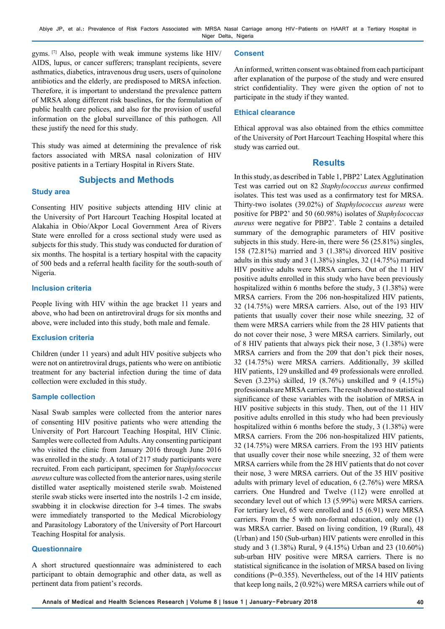gyms. [7] Also, people with weak immune systems like HIV/ AIDS, lupus, or cancer sufferers; transplant recipients, severe asthmatics, diabetics, intravenous drug users, users of quinolone antibiotics and the elderly, are predisposed to MRSA infection. Therefore, it is important to understand the prevalence pattern of MRSA along different risk baselines, for the formulation of public health care polices, and also for the provision of useful information on the global surveillance of this pathogen. All these justify the need for this study.

This study was aimed at determining the prevalence of risk factors associated with MRSA nasal colonization of HIV positive patients in a Tertiary Hospital in Rivers State.

#### **Subjects and Methods**

#### **Study area**

Consenting HIV positive subjects attending HIV clinic at the University of Port Harcourt Teaching Hospital located at Alakahia in Obio/Akpor Local Government Area of Rivers State were enrolled for a cross sectional study were used as subjects for this study. This study was conducted for duration of six months. The hospital is a tertiary hospital with the capacity of 500 beds and a referral health facility for the south-south of Nigeria.

#### **Inclusion criteria**

People living with HIV within the age bracket 11 years and above, who had been on antiretroviral drugs for six months and above, were included into this study, both male and female.

#### **Exclusion criteria**

Children (under 11 years) and adult HIV positive subjects who were not on antiretroviral drugs, patients who were on antibiotic treatment for any bacterial infection during the time of data collection were excluded in this study.

#### **Sample collection**

Nasal Swab samples were collected from the anterior nares of consenting HIV positive patients who were attending the University of Port Harcourt Teaching Hospital, HIV Clinic. Samples were collected from Adults. Any consenting participant who visited the clinic from January 2016 through June 2016 was enrolled in the study. A total of 217 study participants were recruited. From each participant, specimen for *Staphylococcus aureus* culture was collected from the anterior nares, using sterile distilled water aseptically moistened sterile swab. Moistened sterile swab sticks were inserted into the nostrils 1-2 cm inside, swabbing it in clockwise direction for 3-4 times. The swabs were immediately transported to the Medical Microbiology and Parasitology Laboratory of the University of Port Harcourt Teaching Hospital for analysis.

#### **Questionnaire**

A short structured questionnaire was administered to each participant to obtain demographic and other data, as well as pertinent data from patient's records.

#### **Consent**

An informed, written consent was obtained from each participant after explanation of the purpose of the study and were ensured strict confidentiality. They were given the option of not to participate in the study if they wanted.

#### **Ethical clearance**

Ethical approval was also obtained from the ethics committee of the University of Port Harcourt Teaching Hospital where this study was carried out.

#### **Results**

In this study, as described in Table 1, PBP2' Latex Agglutination Test was carried out on 82 *Staphylococcus aureus* confirmed isolates. This test was used as a confirmatory test for MRSA. Thirty-two isolates (39.02%) of *Staphylococcus aureus* were positive for PBP2' and 50 (60.98%) isolates of *Staphylococcus aureus* were negative for PBP2'. Table 2 contains a detailed summary of the demographic parameters of HIV positive subjects in this study. Here-in, there were 56 (25.81%) singles, 158 (72.81%) married and 3 (1.38%) divorced HIV positive adults in this study and 3 (1.38%) singles, 32 (14.75%) married HIV positive adults were MRSA carriers. Out of the 11 HIV positive adults enrolled in this study who have been previously hospitalized within 6 months before the study, 3 (1.38%) were MRSA carriers. From the 206 non-hospitalized HIV patients, 32 (14.75%) were MRSA carriers. Also, out of the 193 HIV patients that usually cover their nose while sneezing, 32 of them were MRSA carriers while from the 28 HIV patients that do not cover their nose, 3 were MRSA carriers. Similarly, out of 8 HIV patients that always pick their nose, 3 (1.38%) were MRSA carriers and from the 209 that don't pick their noses, 32 (14.75%) were MRSA carriers. Additionally, 39 skilled HIV patients, 129 unskilled and 49 professionals were enrolled. Seven (3.23%) skilled, 19 (8.76%) unskilled and 9 (4.15%) professionals are MRSA carriers. The result showed no statistical significance of these variables with the isolation of MRSA in HIV positive subjects in this study. Then, out of the 11 HIV positive adults enrolled in this study who had been previously hospitalized within 6 months before the study, 3 (1.38%) were MRSA carriers. From the 206 non-hospitalized HIV patients, 32 (14.75%) were MRSA carriers. From the 193 HIV patients that usually cover their nose while sneezing, 32 of them were MRSA carriers while from the 28 HIV patients that do not cover their nose, 3 were MRSA carriers. Out of the 35 HIV positive adults with primary level of education, 6 (2.76%) were MRSA carriers. One Hundred and Twelve (112) were enrolled at secondary level out of which 13 (5.99%) were MRSA carriers. For tertiary level, 65 were enrolled and 15 (6.91) were MRSA carriers. From the 5 with non-formal education, only one (1) was MRSA carrier. Based on living condition, 19 (Rural), 48 (Urban) and 150 (Sub-urban) HIV patients were enrolled in this study and 3 (1.38%) Rural, 9 (4.15%) Urban and 23 (10.60%) sub-urban HIV positive were MRSA carriers. There is no statistical significance in the isolation of MRSA based on living conditions (P=0.355). Nevertheless, out of the 14 HIV patients that keep long nails, 2 (0.92%) were MRSA carriers while out of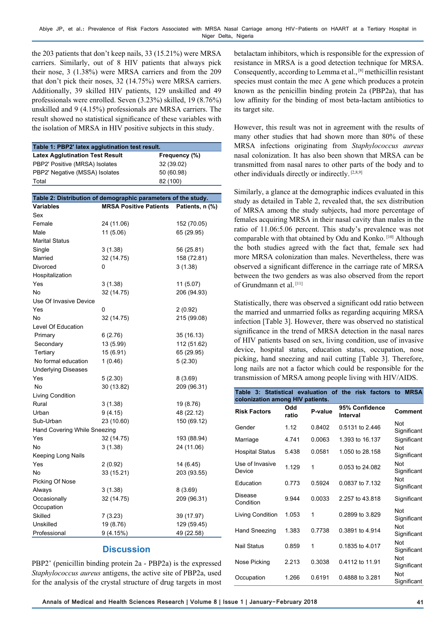the 203 patients that don't keep nails, 33 (15.21%) were MRSA carriers. Similarly, out of 8 HIV patients that always pick their nose, 3 (1.38%) were MRSA carriers and from the 209 that don't pick their noses, 32 (14.75%) were MRSA carriers. Additionally, 39 skilled HIV patients, 129 unskilled and 49 professionals were enrolled. Seven (3.23%) skilled, 19 (8.76%) unskilled and 9 (4.15%) professionals are MRSA carriers. The result showed no statistical significance of these variables with the isolation of MRSA in HIV positive subjects in this study.

| Table 1: PBP2' latex agglutination test result. |               |  |  |  |
|-------------------------------------------------|---------------|--|--|--|
| <b>Latex Agglutination Test Result</b>          | Frequency (%) |  |  |  |
| PBP2' Positive (MRSA) Isolates                  | 32 (39.02)    |  |  |  |
| PBP2' Negative (MSSA) Isolates                  | 50 (60.98)    |  |  |  |
| Total                                           | 82 (100)      |  |  |  |

| Table 2: Distribution of demographic parameters of the study.        |  |  |  |  |  |  |  |
|----------------------------------------------------------------------|--|--|--|--|--|--|--|
| <b>MRSA Positive Patients</b><br><b>Variables</b><br>Patients, n (%) |  |  |  |  |  |  |  |
| Sex                                                                  |  |  |  |  |  |  |  |
| Female<br>24 (11.06)<br>152 (70.05)                                  |  |  |  |  |  |  |  |
| 11 (5.06)<br>65 (29.95)<br>Male                                      |  |  |  |  |  |  |  |
| <b>Marital Status</b>                                                |  |  |  |  |  |  |  |
| Single<br>56 (25.81)<br>3 (1.38)                                     |  |  |  |  |  |  |  |
| 32 (14.75)<br>158 (72.81)<br>Married                                 |  |  |  |  |  |  |  |
| 3(1.38)<br>Divorced<br>0                                             |  |  |  |  |  |  |  |
| Hospitalization                                                      |  |  |  |  |  |  |  |
| Yes<br>3(1.38)<br>11 (5.07)                                          |  |  |  |  |  |  |  |
| 32 (14.75)<br>206 (94.93)<br>No                                      |  |  |  |  |  |  |  |
| Use Of Invasive Device                                               |  |  |  |  |  |  |  |
| Yes<br>0<br>2 (0.92)                                                 |  |  |  |  |  |  |  |
| 32 (14.75)<br>215 (99.08)<br>No                                      |  |  |  |  |  |  |  |
| Level Of Education                                                   |  |  |  |  |  |  |  |
| 6(2.76)<br>35 (16.13)<br>Primary                                     |  |  |  |  |  |  |  |
| 13 (5.99)<br>112 (51.62)<br>Secondary                                |  |  |  |  |  |  |  |
| 15 (6.91)<br>Tertiary<br>65 (29.95)                                  |  |  |  |  |  |  |  |
| No formal education<br>1(0.46)<br>5(2.30)                            |  |  |  |  |  |  |  |
| <b>Underlying Diseases</b>                                           |  |  |  |  |  |  |  |
| Yes<br>5(2.30)<br>8(3.69)                                            |  |  |  |  |  |  |  |
| No<br>30 (13.82)<br>209 (96.31)                                      |  |  |  |  |  |  |  |
| Living Condition                                                     |  |  |  |  |  |  |  |
| Rural<br>3(1.38)<br>19 (8.76)                                        |  |  |  |  |  |  |  |
| 48 (22.12)<br>9(4.15)<br>Urban                                       |  |  |  |  |  |  |  |
| 23 (10.60)<br>150 (69.12)<br>Sub-Urban                               |  |  |  |  |  |  |  |
| Hand Covering While Sneezing                                         |  |  |  |  |  |  |  |
| Yes<br>32 (14.75)<br>193 (88.94)                                     |  |  |  |  |  |  |  |
| 24 (11.06)<br>No<br>3(1.38)                                          |  |  |  |  |  |  |  |
| Keeping Long Nails                                                   |  |  |  |  |  |  |  |
| Yes<br>2 (0.92)<br>14 (6.45)                                         |  |  |  |  |  |  |  |
| No<br>33 (15.21)<br>203 (93.55)                                      |  |  |  |  |  |  |  |
| Picking Of Nose                                                      |  |  |  |  |  |  |  |
| Always<br>3(1.38)<br>8 (3.69)                                        |  |  |  |  |  |  |  |
| Occasionally<br>32 (14.75)<br>209 (96.31)                            |  |  |  |  |  |  |  |
| Occupation                                                           |  |  |  |  |  |  |  |
| Skilled<br>7 (3.23)<br>39 (17.97)                                    |  |  |  |  |  |  |  |
| 19 (8.76)<br>129 (59.45)<br>Unskilled                                |  |  |  |  |  |  |  |
| Professional<br>9(4.15%)<br>49 (22.58)                               |  |  |  |  |  |  |  |

# **Discussion**

PBP2' (penicillin binding protein 2a - PBP2a) is the expressed *Staphylococcus aureus* antigens, the active site of PBP2a, used for the analysis of the crystal structure of drug targets in most

betalactam inhibitors, which is responsible for the expression of resistance in MRSA is a good detection technique for MRSA. Consequently, according to Lemma et al., [8] methicillin resistant species must contain the mec A gene which produces a protein known as the penicillin binding protein 2a (PBP2a), that has low affinity for the binding of most beta-lactam antibiotics to its target site.

However, this result was not in agreement with the results of many other studies that had shown more than 80% of these MRSA infections originating from *Staphylococcus aureus*  nasal colonization. It has also been shown that MRSA can be transmitted from nasal nares to other parts of the body and to other individuals directly or indirectly. [2,8,9]

Similarly, a glance at the demographic indices evaluated in this study as detailed in Table 2, revealed that, the sex distribution of MRSA among the study subjects, had more percentage of females acquiring MRSA in their nasal cavity than males in the ratio of 11.06:5.06 percent. This study's prevalence was not comparable with that obtained by Odu and Konko. [10] Although the both studies agreed with the fact that, female sex had more MRSA colonization than males. Nevertheless, there was observed a significant difference in the carriage rate of MRSA between the two genders as was also observed from the report of Grundmann et al. [11]

Statistically, there was observed a significant odd ratio between the married and unmarried folks as regarding acquiring MRSA infection [Table 3]. However, there was observed no statistical significance in the trend of MRSA detection in the nasal nares of HIV patients based on sex, living condition, use of invasive device, hospital status, education status, occupation, nose picking, hand sneezing and nail cutting [Table 3]. Therefore, long nails are not a factor which could be responsible for the transmission of MRSA among people living with HIV/AIDS.

| colonization among HIV patients. |              |         | Table 3: Statistical evaluation of the risk factors | to MRSA            |
|----------------------------------|--------------|---------|-----------------------------------------------------|--------------------|
| <b>Risk Factors</b>              | Odd<br>ratio | P-value | 95% Confidence<br>Interval                          | <b>Comment</b>     |
| Gender                           | 1.12         | 0.8402  | 0.5131 to 2.446                                     | Not<br>Significant |
| Marriage                         | 4.741        | 0.0063  | 1.393 to 16.137                                     | Significant        |
| Hospital Status                  | 5.438        | 0.0581  | 1.050 to 28.158                                     | Not<br>Significant |
| Use of Invasive<br>Device        | 1.129        | 1       | 0.053 to 24.082                                     | Not<br>Significant |
| <b>Education</b>                 | 0 7 7 3      | 0.5924  | 0.0837 to 7.132                                     | Not<br>Significant |
| Disease<br>Condition             | 9 9 4 4      | 0.0033  | 2.257 to 43.818                                     | Significant        |
| Living Condition                 | 1.053        | 1       | 0.2899 to 3.829                                     | Not<br>Significant |
| Hand Sneezing                    | 1.383        | 0.7738  | 0.3891 to 4.914                                     | Not<br>Significant |
| <b>Nail Status</b>               | 0.859        | 1       | 0.1835 to 4.017                                     | Not<br>Significant |
| Nose Picking                     | 2.213        | 0.3038  | 0.4112 to 11.91                                     | Not<br>Significant |
| Occupation                       | 1.266        | 0.6191  | 0.4888 to 3.281                                     | Not<br>Significant |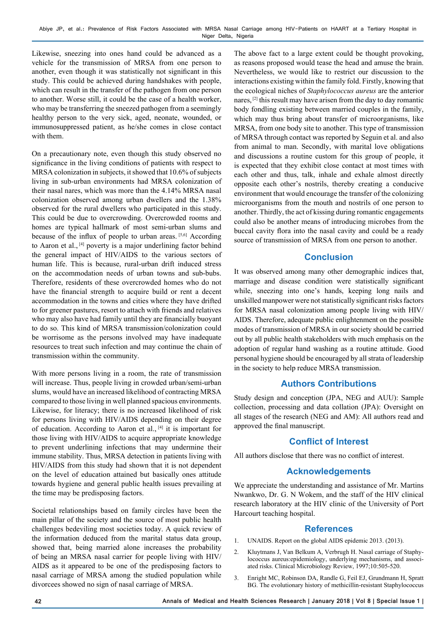Likewise, sneezing into ones hand could be advanced as a vehicle for the transmission of MRSA from one person to another, even though it was statistically not significant in this study. This could be achieved during handshakes with people, which can result in the transfer of the pathogen from one person to another. Worse still, it could be the case of a health worker, who may be transferring the sneezed pathogen from a seemingly healthy person to the very sick, aged, neonate, wounded, or immunosuppressed patient, as he/she comes in close contact with them.

On a precautionary note, even though this study observed no significance in the living conditions of patients with respect to MRSA colonization in subjects, it showed that 10.6% of subjects living in sub-urban environments had MRSA colonization of their nasal nares, which was more than the 4.14% MRSA nasal colonization observed among urban dwellers and the 1.38% observed for the rural dwellers who participated in this study. This could be due to overcrowding. Overcrowded rooms and homes are typical hallmark of most semi-urban slums and because of the influx of people to urban areas. [5,6] According to Aaron et al., [4] poverty is a major underlining factor behind the general impact of HIV/AIDS to the various sectors of human life. This is because, rural-urban drift induced stress on the accommodation needs of urban towns and sub-bubs. Therefore, residents of these overcrowded homes who do not have the financial strength to acquire build or rent a decent accommodation in the towns and cities where they have drifted to for greener pastures, resort to attach with friends and relatives who may also have had family until they are financially buoyant to do so. This kind of MRSA transmission/colonization could be worrisome as the persons involved may have inadequate resources to treat such infection and may continue the chain of transmission within the community.

With more persons living in a room, the rate of transmission will increase. Thus, people living in crowded urban/semi-urban slums, would have an increased likelihood of contracting MRSA compared to those living in well planned spacious environments. Likewise, for literacy; there is no increased likelihood of risk for persons living with HIV/AIDS depending on their degree of education. According to Aaron et al., [4] it is important for those living with HIV/AIDS to acquire appropriate knowledge to prevent underlining infections that may undermine their immune stability. Thus, MRSA detection in patients living with HIV/AIDS from this study had shown that it is not dependent on the level of education attained but basically ones attitude towards hygiene and general public health issues prevailing at the time may be predisposing factors.

Societal relationships based on family circles have been the main pillar of the society and the source of most public health challenges bedeviling most societies today. A quick review of the information deduced from the marital status data group, showed that, being married alone increases the probability of being an MRSA nasal carrier for people living with HIV/ AIDS as it appeared to be one of the predisposing factors to nasal carriage of MRSA among the studied population while divorcees showed no sign of nasal carriage of MRSA.

The above fact to a large extent could be thought provoking, as reasons proposed would tease the head and amuse the brain. Nevertheless, we would like to restrict our discussion to the interactions existing within the family fold. Firstly, knowing that the ecological niches of *Staphylococcus aureus* are the anterior nares, [2] this result may have arisen from the day to day romantic body fondling existing between married couples in the family, which may thus bring about transfer of microorganisms, like MRSA, from one body site to another. This type of transmission of MRSA through contact was reported by Seguin et al. and also from animal to man. Secondly, with marital love obligations and discussions a routine custom for this group of people, it is expected that they exhibit close contact at most times with each other and thus, talk, inhale and exhale almost directly opposite each other's nostrils, thereby creating a conducive environment that would encourage the transfer of the colonizing microorganisms from the mouth and nostrils of one person to another. Thirdly, the act of kissing during romantic engagements could also be another means of introducing microbes from the buccal cavity flora into the nasal cavity and could be a ready source of transmission of MRSA from one person to another.

# **Conclusion**

It was observed among many other demographic indices that, marriage and disease condition were statistically significant while, sneezing into one's hands, keeping long nails and unskilled manpower were not statistically significant risks factors for MRSA nasal colonization among people living with HIV/ AIDS. Therefore, adequate public enlightenment on the possible modes of transmission of MRSA in our society should be carried out by all public health stakeholders with much emphasis on the adoption of regular hand washing as a routine attitude. Good personal hygiene should be encouraged by all strata of leadership in the society to help reduce MRSA transmission.

# **Authors Contributions**

Study design and conception (JPA, NEG and AUU): Sample collection, processing and data collation (JPA): Oversight on all stages of the research (NEG and AM): All authors read and approved the final manuscript.

# **Conflict of Interest**

All authors disclose that there was no conflict of interest.

# **Acknowledgements**

We appreciate the understanding and assistance of Mr. Martins Nwankwo, Dr. G. N Wokem, and the staff of the HIV clinical research laboratory at the HIV clinic of the University of Port Harcourt teaching hospital.

# **References**

- 1. UNAIDS. Report on the global AIDS epidemic 2013. (2013).
- 2. Kluytmans J, Van Belkum A, Verbrugh H. Nasal carriage of Staphylococcus aureus:epidemiology, underlying mechanisms, and associated risks. Clinical Microbiology Review, 1997;10:505-520.
- 3. Enright MC, Robinson DA, Randle G, Feil EJ, Grundmann H, Spratt BG. The evolutionary history of methicillin-resistant Staphylococcus